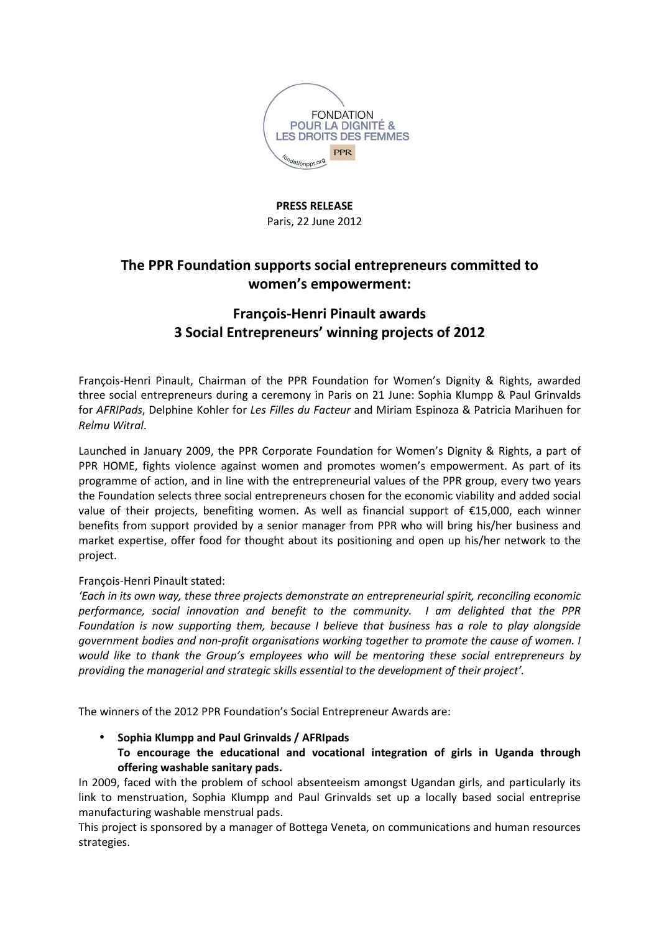

#### **PRESS RELEASE** Paris, 22 June 2012

# **The PPR Foundation supports social entrepreneurs committed to women's empowerment:**

# **François-Henri Pinault awards 3 Social Entrepreneurs' winning projects of 2012**

François-Henri Pinault, Chairman of the PPR Foundation for Women's Dignity & Rights, awarded three social entrepreneurs during a ceremony in Paris on 21 June: Sophia Klumpp & Paul Grinvalds for *AFRIPads*, Delphine Kohler for *Les Filles du Facteur* and Miriam Espinoza & Patricia Marihuen for *Relmu Witral*.

Launched in January 2009, the PPR Corporate Foundation for Women's Dignity & Rights, a part of PPR HOME, fights violence against women and promotes women's empowerment. As part of its programme of action, and in line with the entrepreneurial values of the PPR group, every two years the Foundation selects three social entrepreneurs chosen for the economic viability and added social value of their projects, benefiting women. As well as financial support of €15,000, each winner benefits from support provided by a senior manager from PPR who will bring his/her business and market expertise, offer food for thought about its positioning and open up his/her network to the project.

#### François-Henri Pinault stated:

*'Each in its own way, these three projects demonstrate an entrepreneurial spirit, reconciling economic performance, social innovation and benefit to the community. I am delighted that the PPR Foundation is now supporting them, because I believe that business has a role to play alongside government bodies and non-profit organisations working together to promote the cause of women. I would like to thank the Group's employees who will be mentoring these social entrepreneurs by providing the managerial and strategic skills essential to the development of their project'.* 

The winners of the 2012 PPR Foundation's Social Entrepreneur Awards are:

### • **Sophia Klumpp and Paul Grinvalds / AFRIpads To encourage the educational and vocational integration of girls in Uganda through offering washable sanitary pads.**

In 2009, faced with the problem of school absenteeism amongst Ugandan girls, and particularly its link to menstruation, Sophia Klumpp and Paul Grinvalds set up a locally based social entreprise manufacturing washable menstrual pads.

This project is sponsored by a manager of Bottega Veneta, on communications and human resources strategies.